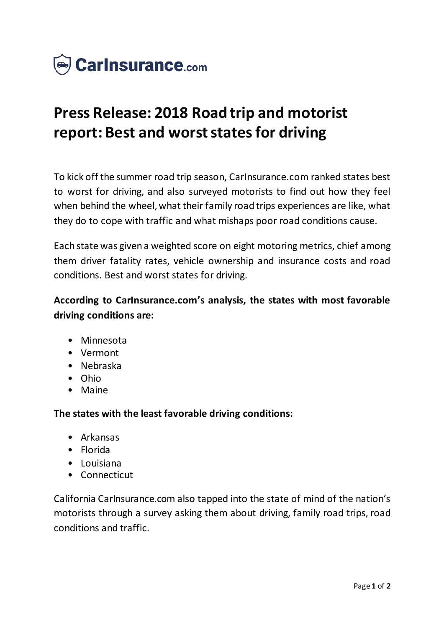

# **Press Release: 2018 Road trip and motorist report: Best and worst states for driving**

To kick off the summer road trip season, CarInsurance.com ranked states best to worst for driving, and also surveyed motorists to find out how they feel when behind the wheel, what their family road trips experiences are like, what they do to cope with traffic and what mishaps poor road conditions cause.

Each state was given a weighted score on eight motoring metrics, chief among them driver fatality rates, vehicle ownership and insurance costs and road conditions. Best and worst states for driving.

## **According to CarInsurance.com's analysis, the states with most favorable driving conditions are:**

- Minnesota
- Vermont
- Nebraska
- Ohio
- Maine

#### **The states with the least favorable driving conditions:**

- Arkansas
- Florida
- Louisiana
- Connecticut

California CarInsurance.com also tapped into the state of mind of the nation's motorists through a survey asking them about driving, family road trips, road conditions and traffic.